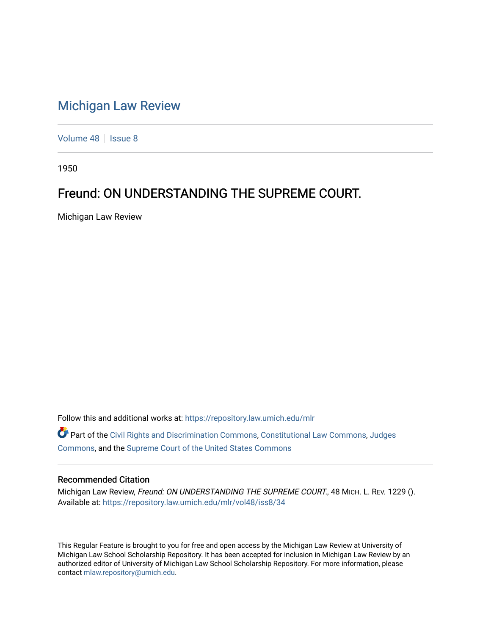## [Michigan Law Review](https://repository.law.umich.edu/mlr)

[Volume 48](https://repository.law.umich.edu/mlr/vol48) | [Issue 8](https://repository.law.umich.edu/mlr/vol48/iss8)

1950

## Freund: ON UNDERSTANDING THE SUPREME COURT.

Michigan Law Review

Follow this and additional works at: [https://repository.law.umich.edu/mlr](https://repository.law.umich.edu/mlr?utm_source=repository.law.umich.edu%2Fmlr%2Fvol48%2Fiss8%2F34&utm_medium=PDF&utm_campaign=PDFCoverPages) 

Part of the [Civil Rights and Discrimination Commons,](http://network.bepress.com/hgg/discipline/585?utm_source=repository.law.umich.edu%2Fmlr%2Fvol48%2Fiss8%2F34&utm_medium=PDF&utm_campaign=PDFCoverPages) [Constitutional Law Commons,](http://network.bepress.com/hgg/discipline/589?utm_source=repository.law.umich.edu%2Fmlr%2Fvol48%2Fiss8%2F34&utm_medium=PDF&utm_campaign=PDFCoverPages) [Judges](http://network.bepress.com/hgg/discipline/849?utm_source=repository.law.umich.edu%2Fmlr%2Fvol48%2Fiss8%2F34&utm_medium=PDF&utm_campaign=PDFCoverPages)  [Commons](http://network.bepress.com/hgg/discipline/849?utm_source=repository.law.umich.edu%2Fmlr%2Fvol48%2Fiss8%2F34&utm_medium=PDF&utm_campaign=PDFCoverPages), and the [Supreme Court of the United States Commons](http://network.bepress.com/hgg/discipline/1350?utm_source=repository.law.umich.edu%2Fmlr%2Fvol48%2Fiss8%2F34&utm_medium=PDF&utm_campaign=PDFCoverPages) 

## Recommended Citation

Michigan Law Review, Freund: ON UNDERSTANDING THE SUPREME COURT., 48 MICH. L. REV. 1229 (). Available at: [https://repository.law.umich.edu/mlr/vol48/iss8/34](https://repository.law.umich.edu/mlr/vol48/iss8/34?utm_source=repository.law.umich.edu%2Fmlr%2Fvol48%2Fiss8%2F34&utm_medium=PDF&utm_campaign=PDFCoverPages) 

This Regular Feature is brought to you for free and open access by the Michigan Law Review at University of Michigan Law School Scholarship Repository. It has been accepted for inclusion in Michigan Law Review by an authorized editor of University of Michigan Law School Scholarship Repository. For more information, please contact [mlaw.repository@umich.edu](mailto:mlaw.repository@umich.edu).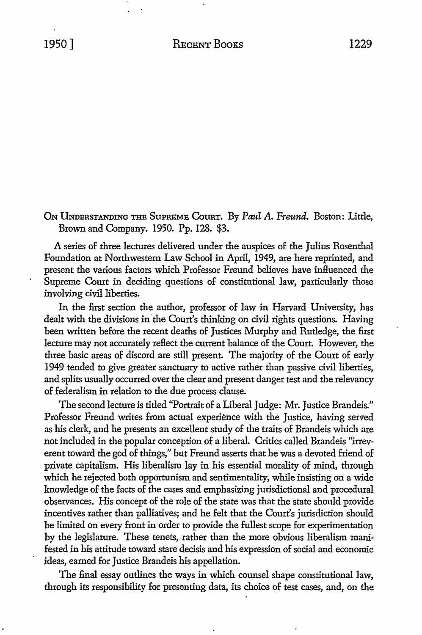**ON** UNDERSTANDING THE SUPREME CoURT. By *Paul* A. *Freund.* Boston: Little, Brown and Company. 1950. Pp. 128. \$3.

A series of three lectures delivered under the auspices of the Julius Rosenthal Foundation at Northwestern Law School in April, 1949, are here reprinted, and present the various factors which Professor Freund believes have influenced the Supreme Court in deciding questions of constitutional law, particularly those involving civil liberties.

In the first section the author, professor of law in Harvard University, has dealt with the divisions in the Court's thinking on civil rights questions. Having been written before the recent deaths of Justices Murphy and Rutledge, the first lecture may not accurately reflect the current balance of the Court. However, the three basic areas of discord are still present. The majority of the Court of early 1949 tended to give greater sanctuary to active rather than passive civil liberties, and splits usually occurred over the clear and present danger test and the relevancy of federalism in relation to the due process clause.

The second lecture is titled "Portrait of a Liberal Judge: Mr. Justice Brandeis." Professor Freund writes from actual experience with the Justice, having served as his clerk, and he presents an excellent study of the traits of Brandeis which are not included in the popular conception of a liberal. Critics called Brandeis "irreverent toward the god of things," but Freund asserts that he was a devoted friend of private capitalism. His liberalism lay in his essential morality of mind, through which he rejected both opportunism and sentimentality, while insisting on a wide knowledge of the facts of the cases and emphasizing jurisdictional and procedural observances. His concept of the role of the state was that the state should provide incentives rather than palliatives; and he felt that the Court's jurisdiction should be limited on every front in order to provide the fullest scope for experimentation by the legislature. These tenets, rather than the more obvious liberalism manifested in his attitude toward stare decisis and his expression of social and economic ideas, earned for Justice Brandeis his appellation.

The final essay outlines the ways in which counsel shape constitutional law, through its responsibility for presenting data, its choice of test cases, and, on the